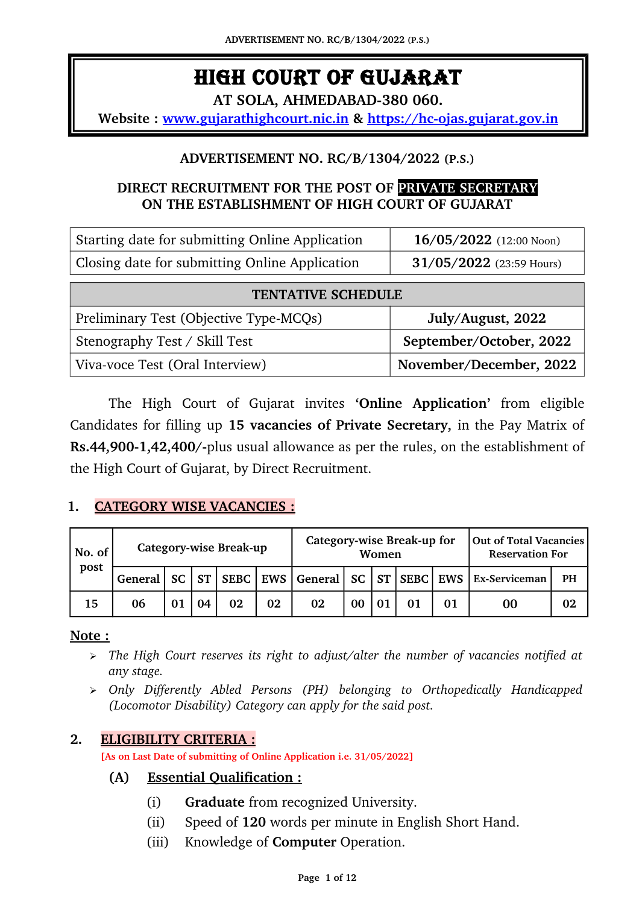# HIGH COURT OF GUJARAT

**AT SOLA, AHMEDABAD380 060.**

**Website : www.gujarathighcourt.nic.in & https://hc-ojas.gujarat.go[v.in](http://hc-ojas.guj.nic.in/)** 

## **ADVERTISEMENT NO. RC/B/1304/2022 (P.S.)**

# **DIRECT RECRUITMENT FOR THE POST OF PRIVATE SECRETARY ON THE ESTABLISHMENT OF HIGH COURT OF GUJARAT**

| Starting date for submitting Online Application | $16/05/2022$ (12:00 Noon)  |
|-------------------------------------------------|----------------------------|
| Closing date for submitting Online Application  | $31/05/2022$ (23:59 Hours) |

| <b>TENTATIVE SCHEDULE</b>              |                         |  |  |  |
|----------------------------------------|-------------------------|--|--|--|
| Preliminary Test (Objective Type-MCQs) | July/August, 2022       |  |  |  |
| Stenography Test / Skill Test          | September/October, 2022 |  |  |  |
| Viva-voce Test (Oral Interview)        | November/December, 2022 |  |  |  |

The High Court of Gujarat invites **'Online Application'** from eligible Candidates for filling up **15 vacancies of Private Secretary,** in the Pay Matrix of **Rs.44,900-1,42,400/-plus usual allowance as per the rules, on the establishment of** the High Court of Gujarat, by Direct Recruitment.

## **1. CATEGORY WISE VACANCIES :**

| No. of | Category-wise Break-up |  |  |    | Category-wise Break-up for<br>Women |    |    |  | Out of Total Vacancies<br><b>Reservation For</b> |  |                                                                                 |    |
|--------|------------------------|--|--|----|-------------------------------------|----|----|--|--------------------------------------------------|--|---------------------------------------------------------------------------------|----|
| post   |                        |  |  |    |                                     |    |    |  |                                                  |  | General   SC   ST   SEBC   EWS   General   SC   ST   SEBC   EWS   Ex-Serviceman | PH |
| 15     | 06                     |  |  | 02 | 02                                  | 02 | 00 |  | 01                                               |  | 00                                                                              | 02 |

#### **Note :**

- ➢ *The High Court reserves its right to adjust/alter the number of vacancies notified at any stage.*
- ➢ *Only Differently Abled Persons (PH) belonging to Orthopedically Handicapped (Locomotor Disability) Category can apply for the said post.*

## **2. ELIGIBILITY CRITERIA :**

**[As on Last Date of submitting of Online Application i.e. 31/05/2022]**

## **(A) Essential Qualification :**

- (i) **Graduate** from recognized University.
- (ii) Speed of **120** words per minute in English Short Hand.
- (iii) Knowledge of **Computer** Operation.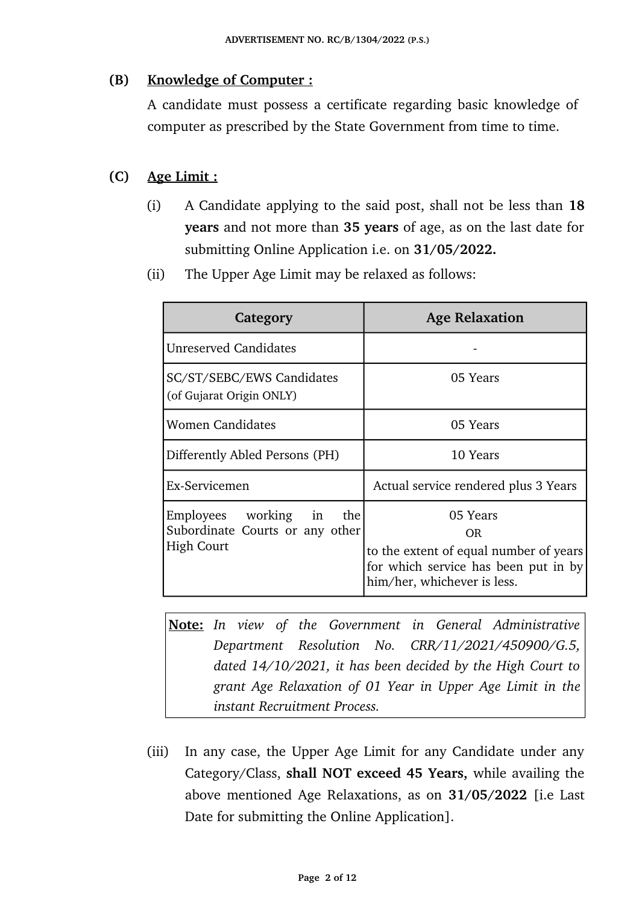# **(B) Knowledge of Computer :**

A candidate must possess a certificate regarding basic knowledge of computer as prescribed by the State Government from time to time.

# **(C) Age Limit :**

- (i) A Candidate applying to the said post, shall not be less than **18 years** and not more than **35 years** of age, as on the last date for submitting Online Application i.e. on **31/05/2022.**
- (ii) The Upper Age Limit may be relaxed as follows:

| Category                                                                            | <b>Age Relaxation</b>                                                                                                            |  |  |
|-------------------------------------------------------------------------------------|----------------------------------------------------------------------------------------------------------------------------------|--|--|
| <b>Unreserved Candidates</b>                                                        |                                                                                                                                  |  |  |
| SC/ST/SEBC/EWS Candidates<br>(of Gujarat Origin ONLY)                               | 05 Years                                                                                                                         |  |  |
| <b>Women Candidates</b>                                                             | 05 Years                                                                                                                         |  |  |
| Differently Abled Persons (PH)                                                      | 10 Years                                                                                                                         |  |  |
| Ex-Servicemen                                                                       | Actual service rendered plus 3 Years                                                                                             |  |  |
| Employees working in<br>the<br>Subordinate Courts or any other<br><b>High Court</b> | 05 Years<br>OR.<br>to the extent of equal number of years<br>for which service has been put in by<br>him/her, whichever is less. |  |  |

**Note:** *In view of the Government in General Administrative Department Resolution No. CRR/11/2021/450900/G.5, dated 14/10/2021, it has been decided by the High Court to grant Age Relaxation of 01 Year in Upper Age Limit in the instant Recruitment Process.*

(iii) In any case, the Upper Age Limit for any Candidate under any Category/Class, **shall NOT exceed 45 Years,** while availing the above mentioned Age Relaxations, as on **31/05/2022** [i.e Last Date for submitting the Online Application].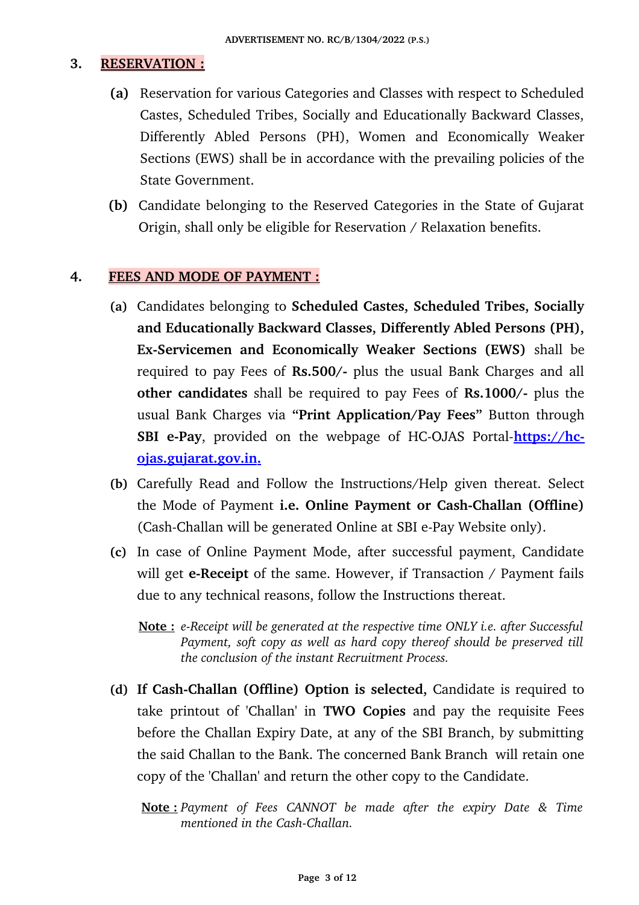#### **3. RESERVATION :**

- **(a)** Reservation for various Categories and Classes with respect to Scheduled Castes, Scheduled Tribes, Socially and Educationally Backward Classes, Differently Abled Persons (PH), Women and Economically Weaker Sections (EWS) shall be in accordance with the prevailing policies of the State Government.
- **(b)** Candidate belonging to the Reserved Categories in the State of Gujarat Origin, shall only be eligible for Reservation / Relaxation benefits.

#### **4. FEES AND MODE OF PAYMENT :**

- **(a)** Candidates belonging to **Scheduled Castes, Scheduled Tribes, Socially and Educationally Backward Classes, Differently Abled Persons (PH), Ex-Servicemen and Economically Weaker Sections (EWS)** shall be required to pay Fees of **Rs.500/** plus the usual Bank Charges and all **other candidates** shall be required to pay Fees of **Rs.1000/**- plus the usual Bank Charges via **"Print Application/Pay Fees"** Button through **SBI e-Pay**, provided on the webpage of HC-OJAS Portal-https://hc- **<u>ojas.gujarat.gov.in.</u>**
- **(b)** Carefully Read and Follow the Instructions/Help given thereat. Select the Mode of Payment i.e. Online Payment or Cash-Challan (Offline) (Cash-Challan will be generated Online at SBI e-Pay Website only).
- **(c)** In case of Online Payment Mode, after successful payment, Candidate will get **e-Receipt** of the same. However, if Transaction / Payment fails due to any technical reasons, follow the Instructions thereat.
	- **Note :** *eReceipt will be generated at the respective time ONLY i.e. after Successful Payment, soft copy as well as hard copy thereof should be preserved till the conclusion of the instant Recruitment Process.*
- **(d)** If Cash-Challan (Offline) Option is selected, Candidate is required to take printout of 'Challan' in **TWO Copies** and pay the requisite Fees before the Challan Expiry Date, at any of the SBI Branch, by submitting the said Challan to the Bank. The concerned Bank Branch will retain one copy of the 'Challan' and return the other copy to the Candidate.
	- **Note :** *Payment of Fees CANNOT be made after the expiry Date & Time mentioned in the Cash-Challan.*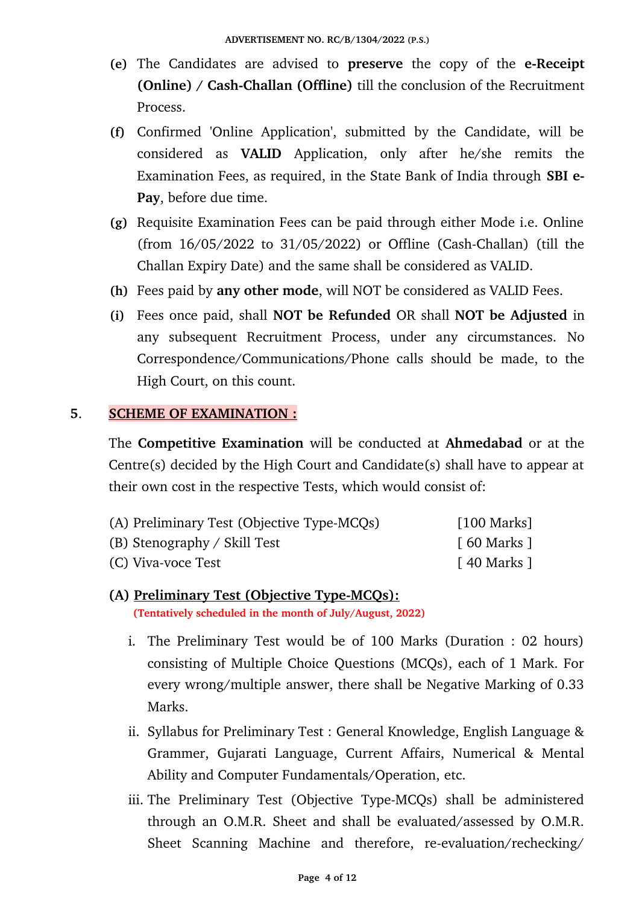- **(e)** The Candidates are advised to **preserve** the copy of the **eReceipt (Online) / Cash-Challan (Offline)** till the conclusion of the Recruitment Process.
- **(f)** Confirmed 'Online Application', submitted by the Candidate, will be considered as **VALID** Application, only after he/she remits the Examination Fees, as required, in the State Bank of India through **SBI e-Pay**, before due time.
- **(g)** Requisite Examination Fees can be paid through either Mode i.e. Online (from  $16/05/2022$  to  $31/05/2022$ ) or Offline (Cash-Challan) (till the Challan Expiry Date) and the same shall be considered as VALID.
- **(h)** Fees paid by **any other mode**, will NOT be considered as VALID Fees.
- **(i)** Fees once paid, shall **NOT be Refunded** OR shall **NOT be Adjusted** in any subsequent Recruitment Process, under any circumstances. No Correspondence/Communications/Phone calls should be made, to the High Court, on this count.

## **5**. **SCHEME OF EXAMINATION :**

The **Competitive Examination** will be conducted at **Ahmedabad** or at the Centre(s) decided by the High Court and Candidate(s) shall have to appear at their own cost in the respective Tests, which would consist of:

| (A) Preliminary Test (Objective Type-MCQs) | $\lceil 100$ Marks]        |
|--------------------------------------------|----------------------------|
| (B) Stenography / Skill Test               | $\lceil 60$ Marks $\rceil$ |
| (C) Viva-voce Test                         | $\lceil$ 40 Marks $\rceil$ |

- **(A) Preliminary Test (Objective TypeMCQs): (Tentatively scheduled in the month of July/August, 2022)**
	- i. The Preliminary Test would be of 100 Marks (Duration : 02 hours) consisting of Multiple Choice Questions (MCQs), each of 1 Mark. For every wrong/multiple answer, there shall be Negative Marking of 0.33 Marks.
	- ii. Syllabus for Preliminary Test : General Knowledge, English Language & Grammer, Gujarati Language, Current Affairs, Numerical & Mental Ability and Computer Fundamentals/Operation, etc.
	- iii. The Preliminary Test (Objective Type-MCQs) shall be administered through an O.M.R. Sheet and shall be evaluated/assessed by O.M.R. Sheet Scanning Machine and therefore, re-evaluation/rechecking/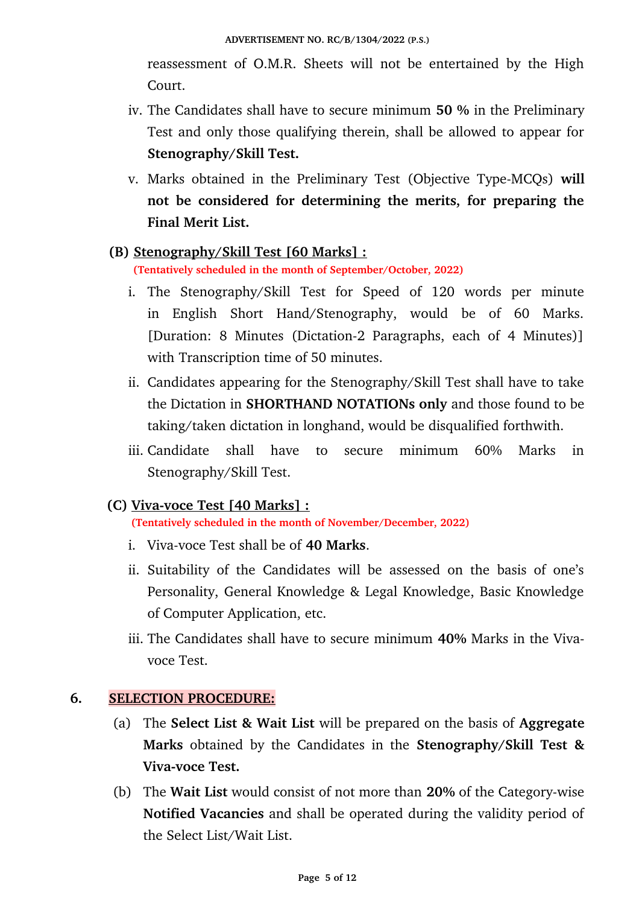reassessment of O.M.R. Sheets will not be entertained by the High Court.

- iv. The Candidates shall have to secure minimum **50 %** in the Preliminary Test and only those qualifying therein, shall be allowed to appear for **Stenography/Skill Test.**
- v. Marks obtained in the Preliminary Test (Objective Type-MCQs) will **not be considered for determining the merits, for preparing the Final Merit List.**

## **(B) Stenography/Skill Test [60 Marks] :**

 **(Tentatively scheduled in the month of September/October, 2022)**

- i. The Stenography/Skill Test for Speed of 120 words per minute in English Short Hand/Stenography, would be of 60 Marks. [Duration: 8 Minutes (Dictation-2 Paragraphs, each of 4 Minutes)] with Transcription time of 50 minutes.
- ii. Candidates appearing for the Stenography/Skill Test shall have to take the Dictation in **SHORTHAND NOTATIONs only** and those found to be taking/taken dictation in longhand, would be disqualified forthwith.
- iii. Candidate shall have to secure minimum 60% Marks in Stenography/Skill Test.

## **(C) Viva-voce Test [40 Marks] :**

 **(Tentatively scheduled in the month of November/December, 2022)**

- i. Viva-voce Test shall be of **40 Marks**.
- ii. Suitability of the Candidates will be assessed on the basis of one's Personality, General Knowledge & Legal Knowledge, Basic Knowledge of Computer Application, etc.
- iii. The Candidates shall have to secure minimum **40%** Marks in the Vivavoce Test.

## **6. SELECTION PROCEDURE:**

- (a) The **Select List & Wait List** will be prepared on the basis of **Aggregate Marks** obtained by the Candidates in the **Stenography/Skill Test & Viva-voce Test.**
- (b) The **Wait List** would consist of not more than 20% of the Category-wise **Notified Vacancies** and shall be operated during the validity period of the Select List/Wait List.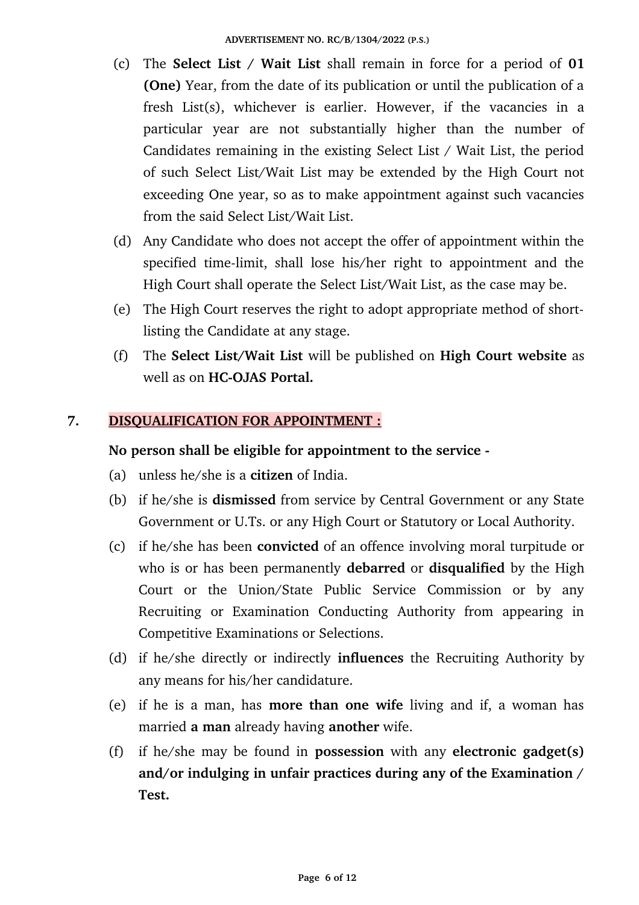- (c) The **Select List / Wait List** shall remain in force for a period of **01 (One)** Year, from the date of its publication or until the publication of a fresh  $List(s)$ , whichever is earlier. However, if the vacancies in a particular year are not substantially higher than the number of Candidates remaining in the existing Select List / Wait List, the period of such Select List/Wait List may be extended by the High Court not exceeding One year, so as to make appointment against such vacancies from the said Select List/Wait List.
- (d) Any Candidate who does not accept the offer of appointment within the specified time-limit, shall lose his/her right to appointment and the High Court shall operate the Select List/Wait List, as the case may be.
- (e) The High Court reserves the right to adopt appropriate method of shortlisting the Candidate at any stage.
- (f) The **Select List/Wait List** will be published on **High Court website** as well as on **HC-OJAS** Portal.

## **7. DISQUALIFICATION FOR APPOINTMENT :**

### **No person shall be eligible for appointment to the service**

- (a) unless he/she is a **citizen** of India.
- (b) if he/she is **dismissed** from service by Central Government or any State Government or U.Ts. or any High Court or Statutory or Local Authority.
- (c) if he/she has been **convicted** of an offence involving moral turpitude or who is or has been permanently **debarred** or **disqualified** by the High Court or the Union/State Public Service Commission or by any Recruiting or Examination Conducting Authority from appearing in Competitive Examinations or Selections.
- (d) if he/she directly or indirectly **influences** the Recruiting Authority by any means for his/her candidature.
- (e) if he is a man, has **more than one wife** living and if, a woman has married **a man** already having **another** wife.
- (f) if he/she may be found in **possession** with any **electronic gadget(s) and/or indulging in unfair practices during any of the Examination / Test.**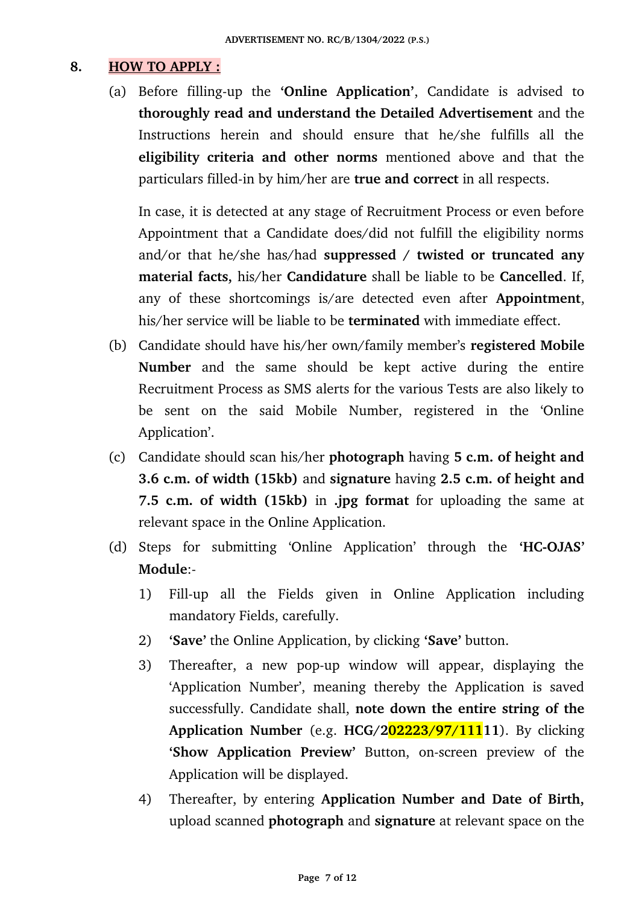## **8. HOW TO APPLY :**

(a) Before filling-up the 'Online Application', Candidate is advised to **thoroughly read and understand the Detailed Advertisement** and the Instructions herein and should ensure that he/she fulfills all the **eligibility criteria and other norms** mentioned above and that the particulars filled-in by him/her are **true and correct** in all respects.

In case, it is detected at any stage of Recruitment Process or even before Appointment that a Candidate does/did not fulfill the eligibility norms and/or that he/she has/had **suppressed / twisted or truncated any material facts,** his/her **Candidature** shall be liable to be **Cancelled**. If, any of these shortcomings is/are detected even after **Appointment**, his/her service will be liable to be **terminated** with immediate effect.

- (b) Candidate should have his/her own/family member's **registered Mobile** Number and the same should be kept active during the entire Recruitment Process as SMS alerts for the various Tests are also likely to be sent on the said Mobile Number, registered in the 'Online Application'.
- (c) Candidate should scan his/her **photograph** having **5 c.m. of height and 3.6 c.m. of width (15kb)** and **signature** having **2.5 c.m. of height and 7.5 c.m. of width (15kb)** in **.jpg format** for uploading the same at relevant space in the Online Application.
- (d) Steps for submitting 'Online Application' through the 'HC-OJAS' **Module**:
	- 1) Fill-up all the Fields given in Online Application including mandatory Fields, carefully.
	- 2) **'Save'** the Online Application, by clicking **'Save'** button.
	- 3) Thereafter, a new pop-up window will appear, displaying the 'Application Number', meaning thereby the Application is saved successfully. Candidate shall, **note down the entire string of the Application Number** (e.g. **HCG/202223/97/11111**). By clicking 'Show Application Preview' Button, on-screen preview of the Application will be displayed.
	- 4) Thereafter, by entering **Application Number and Date of Birth,** upload scanned **photograph** and **signature** at relevant space on the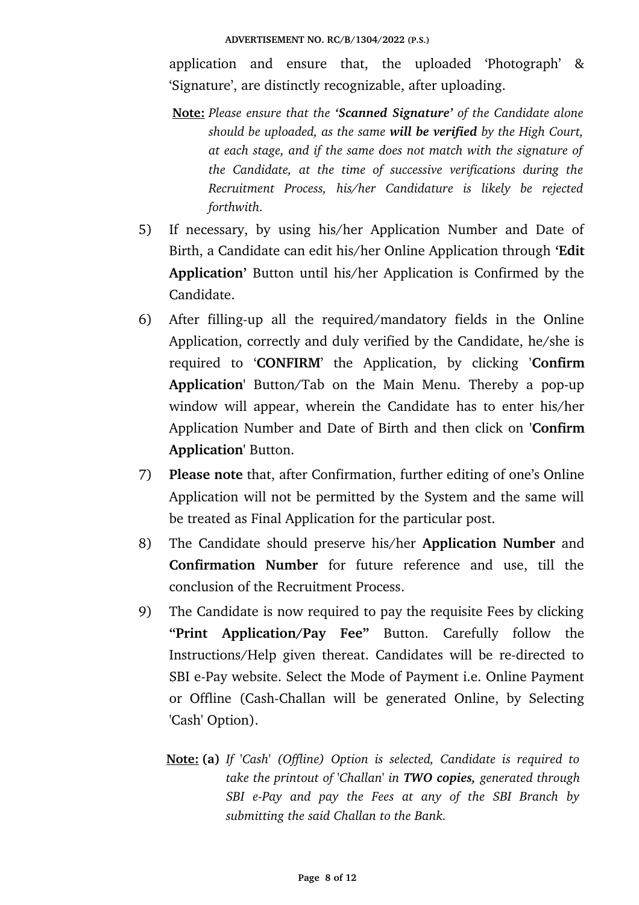application and ensure that, the uploaded 'Photograph' & 'Signature', are distinctly recognizable, after uploading.

- **Note:** *Please ensure that the 'Scanned Signature' of the Candidate alone should be uploaded, as the same will be verified by the High Court, at each stage, and if the same does not match with the signature of the Candidate, at the time of successive verifications during the Recruitment Process, his/her Candidature is likely be rejected forthwith.*
- 5) If necessary, by using his/her Application Number and Date of Birth, a Candidate can edit his/her Online Application through **'Edit Application'** Button until his/her Application is Confirmed by the Candidate.
- 6) After filling-up all the required/mandatory fields in the Online Application, correctly and duly verified by the Candidate, he/she is required to '**CONFIRM**' the Application, by clicking '**Confirm** Application' Button/Tab on the Main Menu. Thereby a pop-up window will appear, wherein the Candidate has to enter his/her Application Number and Date of Birth and then click on **'Confirm Application'** Button.
- 7) **Please note** that, after Confirmation, further editing of one's Online Application will not be permitted by the System and the same will be treated as Final Application for the particular post.
- 8) The Candidate should preserve his/her **Application Number** and **Confirmation Number** for future reference and use, till the conclusion of the Recruitment Process.
- 9) The Candidate is now required to pay the requisite Fees by clicking **"Print Application/Pay Fee"** Button. Carefully follow the Instructions/Help given thereat. Candidates will be re-directed to SBI e-Pay website. Select the Mode of Payment i.e. Online Payment or Offline (Cash-Challan will be generated Online, by Selecting 'Cash' Option).
	- **Note: (a)** *If 'Cash' (Offline) Option is selected, Candidate is required to take the printout of 'Challan' in TWO copies, generated through SBI ePay and pay the Fees at any of the SBI Branch by submitting the said Challan to the Bank.*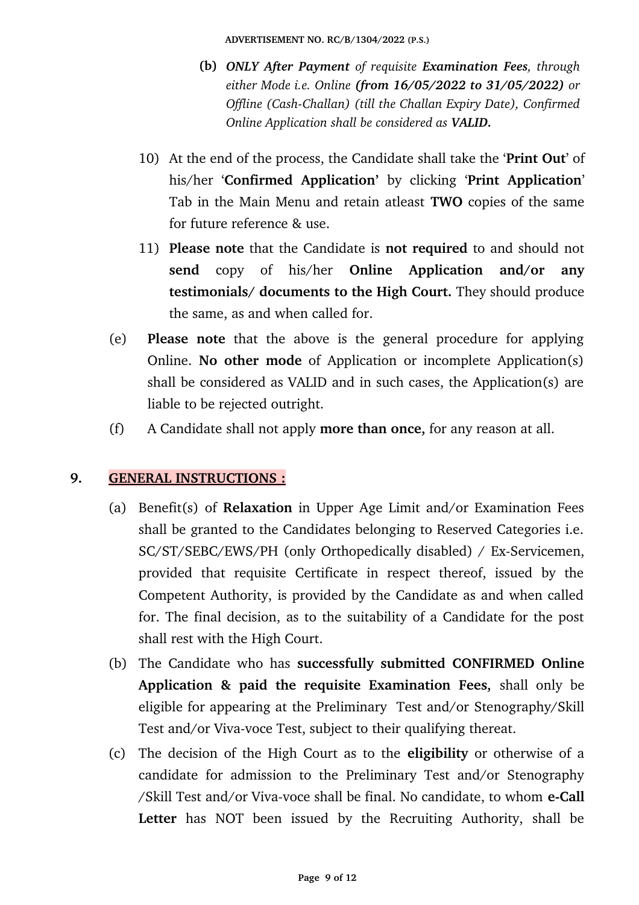**ADVERTISEMENT NO. RC/B/1304/2022 (P.S.)**

- **(b)** *ONLY After Payment of requisite Examination Fees, through either Mode i.e. Online (from 16/05/2022 to 31/05/2022) or Offline (Cash-Challan) (till the Challan Expiry Date), Confirmed Online Application shall be considered as VALID.*
- 10) At the end of the process, the Candidate shall take the '**Print Out**' of his/her **'Confirmed Application'** by clicking **'Print Application'** Tab in the Main Menu and retain atleast **TWO** copies of the same for future reference & use.
- 11) **Please note** that the Candidate is **not required** to and should not **send** copy of his/her **Online Application and/or any testimonials/ documents to the High Court.** They should produce the same, as and when called for.
- (e) **Please note** that the above is the general procedure for applying Online. **No other mode** of Application or incomplete Application(s) shall be considered as VALID and in such cases, the Application(s) are liable to be rejected outright.
- (f) A Candidate shall not apply **more than once,** for any reason at all.

# **9. GENERAL INSTRUCTIONS :**

- (a) Benefit(s) of **Relaxation** in Upper Age Limit and/or Examination Fees shall be granted to the Candidates belonging to Reserved Categories i.e. SC/ST/SEBC/EWS/PH (only Orthopedically disabled) / Ex-Servicemen, provided that requisite Certificate in respect thereof, issued by the Competent Authority, is provided by the Candidate as and when called for. The final decision, as to the suitability of a Candidate for the post shall rest with the High Court.
- (b) The Candidate who has **successfully submitted CONFIRMED Online Application & paid the requisite Examination Fees,** shall only be eligible for appearing at the Preliminary Test and/or Stenography/Skill Test and/or Viva-voce Test, subject to their qualifying thereat.
- (c) The decision of the High Court as to the **eligibility** or otherwise of a candidate for admission to the Preliminary Test and/or Stenography /Skill Test and/or Viva-voce shall be final. No candidate, to whom **e-Call** Letter has NOT been issued by the Recruiting Authority, shall be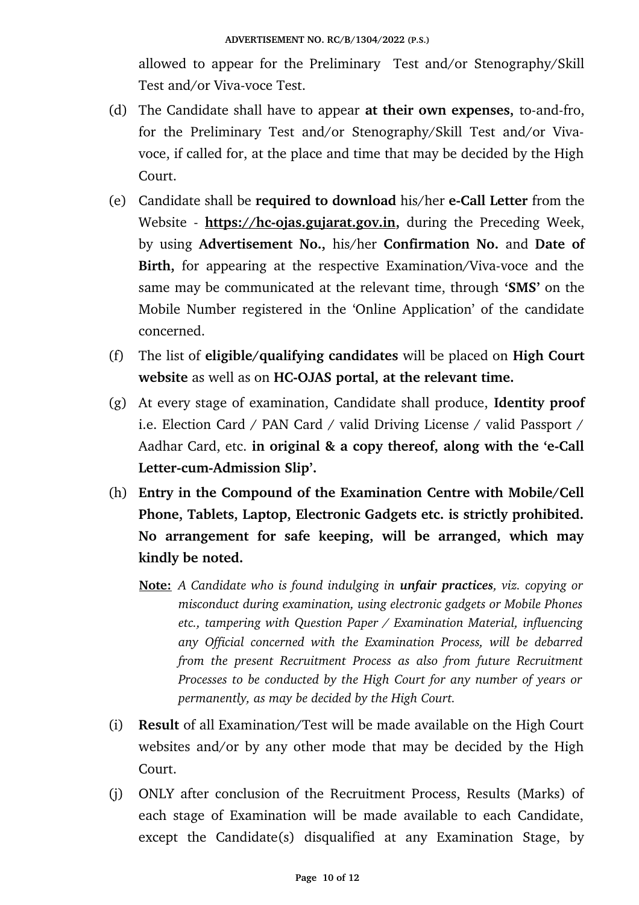allowed to appear for the Preliminary Test and/or Stenography/Skill Test and/or Viva-voce Test.

- (d) The Candidate shall have to appear **at their own expenses**, to-and-fro, for the Preliminary Test and/or Stenography/Skill Test and/or Vivavoce, if called for, at the place and time that may be decided by the High Court.
- (e) Candidate shall be **required to download** his/her **e-Call Letter** from the Website - https://hc-ojas.gujarat.gov.in, during the Preceding Week, by using **Advertisement No.,** his/her **Confirmation No.** and **Date of** Birth, for appearing at the respective Examination/Viva-voce and the same may be communicated at the relevant time, through **'SMS'** on the Mobile Number registered in the 'Online Application' of the candidate concerned.
- (f) The list of **eligible/qualifying candidates** will be placed on **High Court website** as well as on **HC-OJAS** portal, at the relevant time.
- (g) At every stage of examination, Candidate shall produce, **Identity proof** i.e. Election Card / PAN Card / valid Driving License / valid Passport / Aadhar Card, etc. in original & a copy thereof, along with the 'e-Call Letter-cum-Admission Slip'.
- (h) **Entry in the Compound of the Examination Centre with Mobile/Cell Phone, Tablets, Laptop, Electronic Gadgets etc. is strictly prohibited. No arrangement for safe keeping, will be arranged, which may kindly be noted.**
	- **Note:** *A Candidate who is found indulging in unfair practices, viz. copying or misconduct during examination, using electronic gadgets or Mobile Phones etc., tampering with Question Paper / Examination Material, influencing any Official concerned with the Examination Process, will be debarred from the present Recruitment Process as also from future Recruitment Processes to be conducted by the High Court for any number of years or permanently, as may be decided by the High Court.*
- (i) **Result** of all Examination/Test will be made available on the High Court websites and/or by any other mode that may be decided by the High Court.
- (j) ONLY after conclusion of the Recruitment Process, Results (Marks) of each stage of Examination will be made available to each Candidate, except the Candidate(s) disqualified at any Examination Stage, by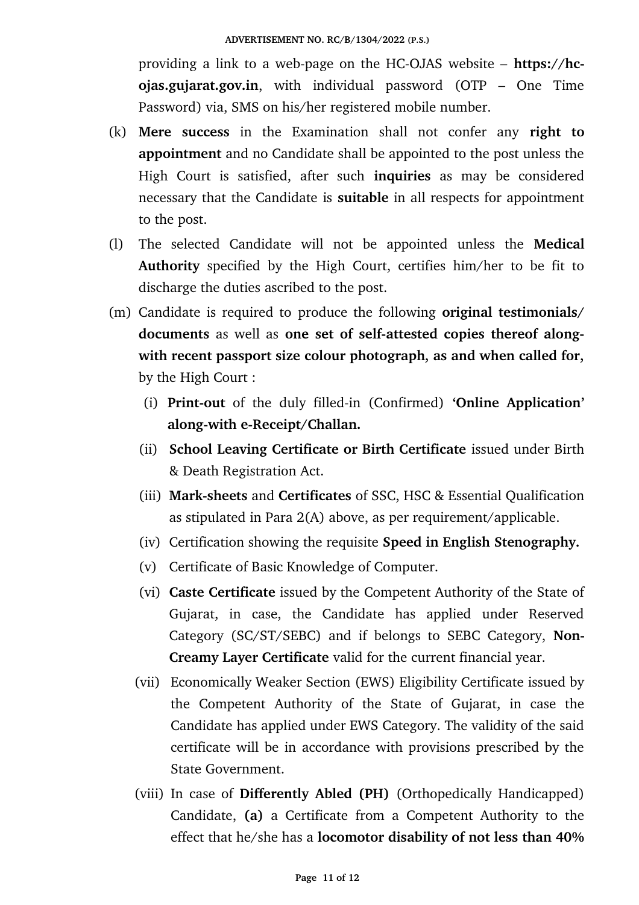providing a link to a web-page on the HC-OJAS website – **https://hcojas.gujarat.gov.in**, with individual password (OTP – One Time Password) via, SMS on his/her registered mobile number.

- (k) **Mere success** in the Examination shall not confer any **right to appointment** and no Candidate shall be appointed to the post unless the High Court is satisfied, after such **inquiries** as may be considered necessary that the Candidate is **suitable** in all respects for appointment to the post.
- (l) The selected Candidate will not be appointed unless the **Medical** Authority specified by the High Court, certifies him/her to be fit to discharge the duties ascribed to the post.
- (m) Candidate is required to produce the following **original testimonials/** documents as well as one set of self-attested copies thereof along**with recent passport size colour photograph, as and when called for,** by the High Court :
	- (i) **Print-out** of the duly filled-in (Confirmed) **'Online Application'** along-with e-Receipt/Challan.
	- (ii) **School Leaving Certificate or Birth Certificate** issued under Birth & Death Registration Act.
	- (iii) **Marksheets** and **Certificates** of SSC, HSC & Essential Qualification as stipulated in Para 2(A) above, as per requirement/applicable.
	- (iv) Certification showing the requisite **Speed in English Stenography.**
	- (v) Certificate of Basic Knowledge of Computer.
	- (vi) **Caste Certificate** issued by the Competent Authority of the State of Gujarat, in case, the Candidate has applied under Reserved Category (SC/ST/SEBC) and if belongs to SEBC Category, **Non-Creamy Layer Certificate** valid for the current financial year.
	- (vii) Economically Weaker Section (EWS) Eligibility Certificate issued by the Competent Authority of the State of Gujarat, in case the Candidate has applied under EWS Category. The validity of the said certificate will be in accordance with provisions prescribed by the State Government.
	- (viii) In case of **Differently Abled (PH)** (Orthopedically Handicapped) Candidate, **(a)** a Certificate from a Competent Authority to the effect that he/she has a **locomotor disability of not less than 40%**